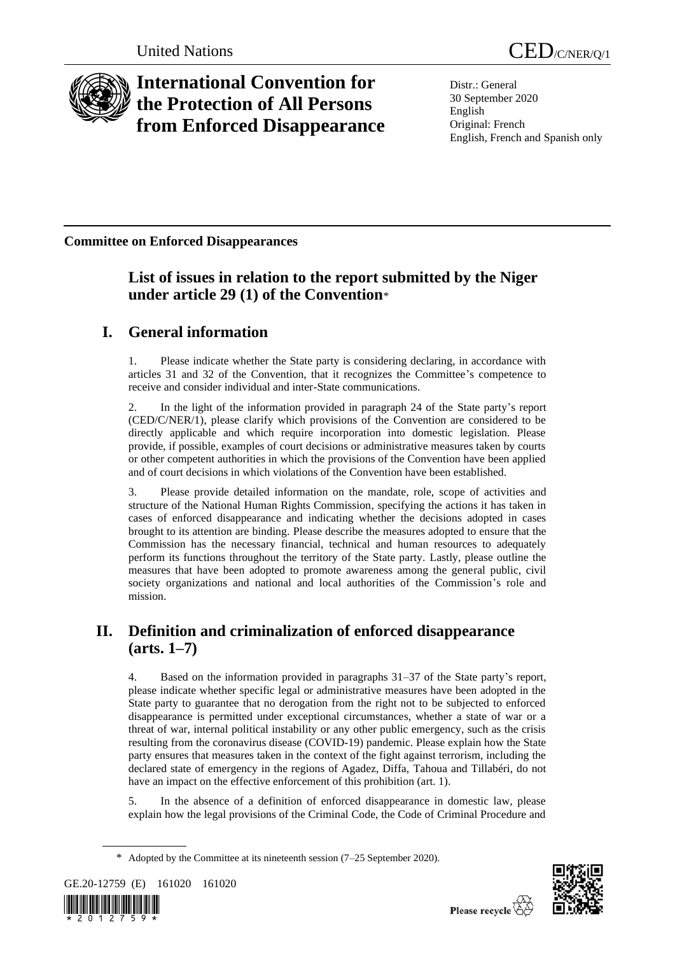

# **International Convention for the Protection of All Persons from Enforced Disappearance**

Distr.: General 30 September 2020 English Original: French English, French and Spanish only

**Committee on Enforced Disappearances**

### **List of issues in relation to the report submitted by the Niger under article 29 (1) of the Convention**\*

## **I. General information**

1. Please indicate whether the State party is considering declaring, in accordance with articles 31 and 32 of the Convention, that it recognizes the Committee's competence to receive and consider individual and inter-State communications.

2. In the light of the information provided in paragraph 24 of the State party's report (CED/C/NER/1), please clarify which provisions of the Convention are considered to be directly applicable and which require incorporation into domestic legislation. Please provide, if possible, examples of court decisions or administrative measures taken by courts or other competent authorities in which the provisions of the Convention have been applied and of court decisions in which violations of the Convention have been established.

3. Please provide detailed information on the mandate, role, scope of activities and structure of the National Human Rights Commission, specifying the actions it has taken in cases of enforced disappearance and indicating whether the decisions adopted in cases brought to its attention are binding. Please describe the measures adopted to ensure that the Commission has the necessary financial, technical and human resources to adequately perform its functions throughout the territory of the State party. Lastly, please outline the measures that have been adopted to promote awareness among the general public, civil society organizations and national and local authorities of the Commission's role and mission.

### **II. Definition and criminalization of enforced disappearance (arts. 1–7)**

Based on the information provided in paragraphs 31–37 of the State party's report, please indicate whether specific legal or administrative measures have been adopted in the State party to guarantee that no derogation from the right not to be subjected to enforced disappearance is permitted under exceptional circumstances, whether a state of war or a threat of war, internal political instability or any other public emergency, such as the crisis resulting from the coronavirus disease (COVID-19) pandemic. Please explain how the State party ensures that measures taken in the context of the fight against terrorism, including the declared state of emergency in the regions of Agadez, Diffa, Tahoua and Tillabéri, do not have an impact on the effective enforcement of this prohibition (art. 1).

5. In the absence of a definition of enforced disappearance in domestic law, please explain how the legal provisions of the Criminal Code, the Code of Criminal Procedure and

<sup>\*</sup> Adopted by the Committee at its nineteenth session (7–25 September 2020).





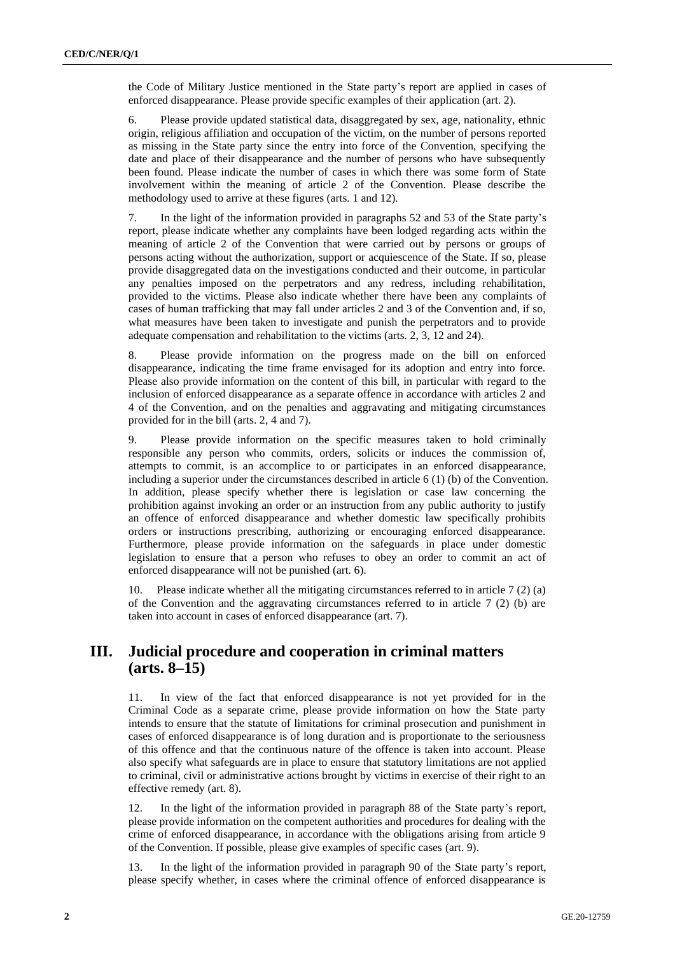the Code of Military Justice mentioned in the State party's report are applied in cases of enforced disappearance. Please provide specific examples of their application (art. 2).

6. Please provide updated statistical data, disaggregated by sex, age, nationality, ethnic origin, religious affiliation and occupation of the victim, on the number of persons reported as missing in the State party since the entry into force of the Convention, specifying the date and place of their disappearance and the number of persons who have subsequently been found. Please indicate the number of cases in which there was some form of State involvement within the meaning of article 2 of the Convention. Please describe the methodology used to arrive at these figures (arts. 1 and 12).

7. In the light of the information provided in paragraphs 52 and 53 of the State party's report, please indicate whether any complaints have been lodged regarding acts within the meaning of article 2 of the Convention that were carried out by persons or groups of persons acting without the authorization, support or acquiescence of the State. If so, please provide disaggregated data on the investigations conducted and their outcome, in particular any penalties imposed on the perpetrators and any redress, including rehabilitation, provided to the victims. Please also indicate whether there have been any complaints of cases of human trafficking that may fall under articles 2 and 3 of the Convention and, if so, what measures have been taken to investigate and punish the perpetrators and to provide adequate compensation and rehabilitation to the victims (arts. 2, 3, 12 and 24).

8. Please provide information on the progress made on the bill on enforced disappearance, indicating the time frame envisaged for its adoption and entry into force. Please also provide information on the content of this bill, in particular with regard to the inclusion of enforced disappearance as a separate offence in accordance with articles 2 and 4 of the Convention, and on the penalties and aggravating and mitigating circumstances provided for in the bill (arts. 2, 4 and 7).

9. Please provide information on the specific measures taken to hold criminally responsible any person who commits, orders, solicits or induces the commission of, attempts to commit, is an accomplice to or participates in an enforced disappearance, including a superior under the circumstances described in article 6 (1) (b) of the Convention. In addition, please specify whether there is legislation or case law concerning the prohibition against invoking an order or an instruction from any public authority to justify an offence of enforced disappearance and whether domestic law specifically prohibits orders or instructions prescribing, authorizing or encouraging enforced disappearance. Furthermore, please provide information on the safeguards in place under domestic legislation to ensure that a person who refuses to obey an order to commit an act of enforced disappearance will not be punished (art. 6).

10. Please indicate whether all the mitigating circumstances referred to in article 7 (2) (a) of the Convention and the aggravating circumstances referred to in article  $7(2)$  (b) are taken into account in cases of enforced disappearance (art. 7).

#### **III. Judicial procedure and cooperation in criminal matters (arts. 8–15)**

11. In view of the fact that enforced disappearance is not yet provided for in the Criminal Code as a separate crime, please provide information on how the State party intends to ensure that the statute of limitations for criminal prosecution and punishment in cases of enforced disappearance is of long duration and is proportionate to the seriousness of this offence and that the continuous nature of the offence is taken into account. Please also specify what safeguards are in place to ensure that statutory limitations are not applied to criminal, civil or administrative actions brought by victims in exercise of their right to an effective remedy (art. 8).

12. In the light of the information provided in paragraph 88 of the State party's report, please provide information on the competent authorities and procedures for dealing with the crime of enforced disappearance, in accordance with the obligations arising from article 9 of the Convention. If possible, please give examples of specific cases (art. 9).

13. In the light of the information provided in paragraph 90 of the State party's report, please specify whether, in cases where the criminal offence of enforced disappearance is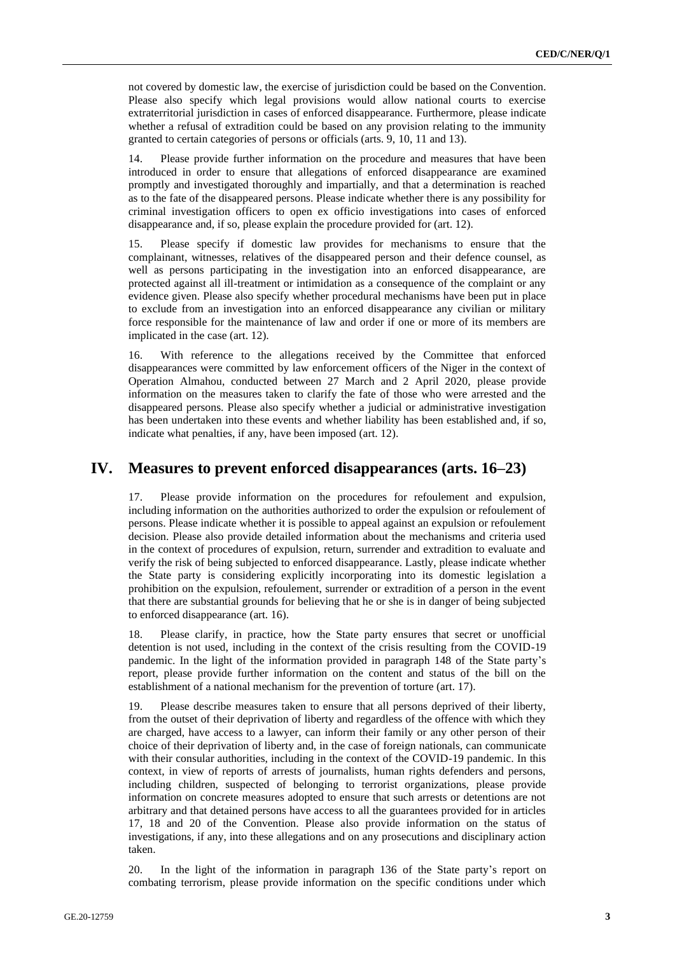not covered by domestic law, the exercise of jurisdiction could be based on the Convention. Please also specify which legal provisions would allow national courts to exercise extraterritorial jurisdiction in cases of enforced disappearance. Furthermore, please indicate whether a refusal of extradition could be based on any provision relating to the immunity granted to certain categories of persons or officials (arts. 9, 10, 11 and 13).

14. Please provide further information on the procedure and measures that have been introduced in order to ensure that allegations of enforced disappearance are examined promptly and investigated thoroughly and impartially, and that a determination is reached as to the fate of the disappeared persons. Please indicate whether there is any possibility for criminal investigation officers to open ex officio investigations into cases of enforced disappearance and, if so, please explain the procedure provided for (art. 12).

15. Please specify if domestic law provides for mechanisms to ensure that the complainant, witnesses, relatives of the disappeared person and their defence counsel, as well as persons participating in the investigation into an enforced disappearance, are protected against all ill-treatment or intimidation as a consequence of the complaint or any evidence given. Please also specify whether procedural mechanisms have been put in place to exclude from an investigation into an enforced disappearance any civilian or military force responsible for the maintenance of law and order if one or more of its members are implicated in the case (art. 12).

16. With reference to the allegations received by the Committee that enforced disappearances were committed by law enforcement officers of the Niger in the context of Operation Almahou, conducted between 27 March and 2 April 2020, please provide information on the measures taken to clarify the fate of those who were arrested and the disappeared persons. Please also specify whether a judicial or administrative investigation has been undertaken into these events and whether liability has been established and, if so, indicate what penalties, if any, have been imposed (art. 12).

#### **IV. Measures to prevent enforced disappearances (arts. 16–23)**

17. Please provide information on the procedures for refoulement and expulsion, including information on the authorities authorized to order the expulsion or refoulement of persons. Please indicate whether it is possible to appeal against an expulsion or refoulement decision. Please also provide detailed information about the mechanisms and criteria used in the context of procedures of expulsion, return, surrender and extradition to evaluate and verify the risk of being subjected to enforced disappearance. Lastly, please indicate whether the State party is considering explicitly incorporating into its domestic legislation a prohibition on the expulsion, refoulement, surrender or extradition of a person in the event that there are substantial grounds for believing that he or she is in danger of being subjected to enforced disappearance (art. 16).

18. Please clarify, in practice, how the State party ensures that secret or unofficial detention is not used, including in the context of the crisis resulting from the COVID-19 pandemic. In the light of the information provided in paragraph 148 of the State party's report, please provide further information on the content and status of the bill on the establishment of a national mechanism for the prevention of torture (art. 17).

19. Please describe measures taken to ensure that all persons deprived of their liberty, from the outset of their deprivation of liberty and regardless of the offence with which they are charged, have access to a lawyer, can inform their family or any other person of their choice of their deprivation of liberty and, in the case of foreign nationals, can communicate with their consular authorities, including in the context of the COVID-19 pandemic. In this context, in view of reports of arrests of journalists, human rights defenders and persons, including children, suspected of belonging to terrorist organizations, please provide information on concrete measures adopted to ensure that such arrests or detentions are not arbitrary and that detained persons have access to all the guarantees provided for in articles 17, 18 and 20 of the Convention. Please also provide information on the status of investigations, if any, into these allegations and on any prosecutions and disciplinary action taken.

20. In the light of the information in paragraph 136 of the State party's report on combating terrorism, please provide information on the specific conditions under which